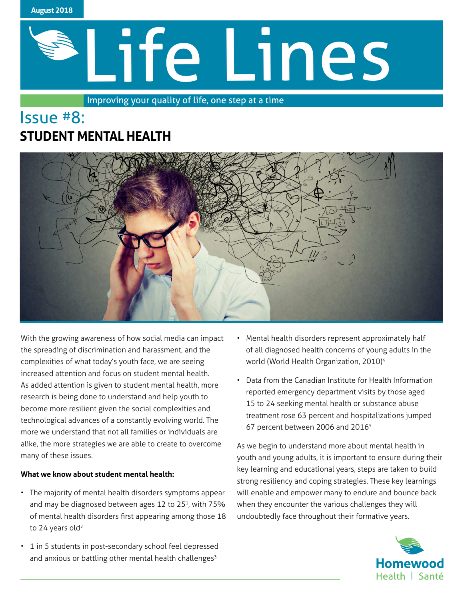

# Life Lines

Improving your quality of life, one step at a time

# Issue #8: **STUDENT MENTAL HEALTH**



With the growing awareness of how social media can impact the spreading of discrimination and harassment, and the complexities of what today's youth face, we are seeing increased attention and focus on student mental health. As added attention is given to student mental health, more research is being done to understand and help youth to become more resilient given the social complexities and technological advances of a constantly evolving world. The more we understand that not all families or individuals are alike, the more strategies we are able to create to overcome many of these issues.

# **What we know about student mental health:**

- The majority of mental health disorders symptoms appear and may be diagnosed between ages 12 to 25<sup>1</sup>, with 75% of mental health disorders first appearing among those 18 to 24 years old<sup>2</sup>
- 1 in 5 students in post-secondary school feel depressed and anxious or battling other mental health challenges<sup>3</sup>
- Mental health disorders represent approximately half of all diagnosed health concerns of young adults in the world (World Health Organization, 2010)<sup>4</sup>
- Data from the Canadian Institute for Health Information reported emergency department visits by those aged 15 to 24 seeking mental health or substance abuse treatment rose 63 percent and hospitalizations jumped 67 percent between 2006 and 20165

As we begin to understand more about mental health in youth and young adults, it is important to ensure during their key learning and educational years, steps are taken to build strong resiliency and coping strategies. These key learnings will enable and empower many to endure and bounce back when they encounter the various challenges they will undoubtedly face throughout their formative years.

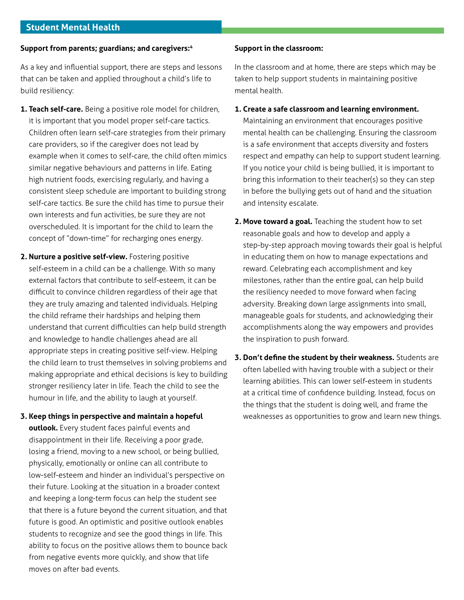# **Support from parents; guardians; and caregivers:4**

As a key and influential support, there are steps and lessons that can be taken and applied throughout a child's life to build resiliency:

- **1. Teach self-care.** Being a positive role model for children, it is important that you model proper self-care tactics. Children often learn self-care strategies from their primary care providers, so if the caregiver does not lead by example when it comes to self-care, the child often mimics similar negative behaviours and patterns in life. Eating high nutrient foods, exercising regularly, and having a consistent sleep schedule are important to building strong self-care tactics. Be sure the child has time to pursue their own interests and fun activities, be sure they are not overscheduled. It is important for the child to learn the concept of "down-time" for recharging ones energy.
- **2. Nurture a positive self-view.** Fostering positive self-esteem in a child can be a challenge. With so many external factors that contribute to self-esteem, it can be difficult to convince children regardless of their age that they are truly amazing and talented individuals. Helping the child reframe their hardships and helping them understand that current difficulties can help build strength and knowledge to handle challenges ahead are all appropriate steps in creating positive self-view. Helping the child learn to trust themselves in solving problems and making appropriate and ethical decisions is key to building stronger resiliency later in life. Teach the child to see the humour in life, and the ability to laugh at yourself.
- **3. Keep things in perspective and maintain a hopeful outlook.** Every student faces painful events and disappointment in their life. Receiving a poor grade, losing a friend, moving to a new school, or being bullied, physically, emotionally or online can all contribute to low-self-esteem and hinder an individual's perspective on their future. Looking at the situation in a broader context and keeping a long-term focus can help the student see that there is a future beyond the current situation, and that future is good. An optimistic and positive outlook enables students to recognize and see the good things in life. This ability to focus on the positive allows them to bounce back from negative events more quickly, and show that life moves on after bad events.

### **Support in the classroom:**

In the classroom and at home, there are steps which may be taken to help support students in maintaining positive mental health.

**1. Create a safe classroom and learning environment.** 

Maintaining an environment that encourages positive mental health can be challenging. Ensuring the classroom is a safe environment that accepts diversity and fosters respect and empathy can help to support student learning. If you notice your child is being bullied, it is important to bring this information to their teacher(s) so they can step in before the bullying gets out of hand and the situation and intensity escalate.

- **2. Move toward a goal.** Teaching the student how to set reasonable goals and how to develop and apply a step-by-step approach moving towards their goal is helpful in educating them on how to manage expectations and reward. Celebrating each accomplishment and key milestones, rather than the entire goal, can help build the resiliency needed to move forward when facing adversity. Breaking down large assignments into small, manageable goals for students, and acknowledging their accomplishments along the way empowers and provides the inspiration to push forward.
- **3. Don't define the student by their weakness.** Students are often labelled with having trouble with a subject or their learning abilities. This can lower self-esteem in students at a critical time of confidence building. Instead, focus on the things that the student is doing well, and frame the weaknesses as opportunities to grow and learn new things.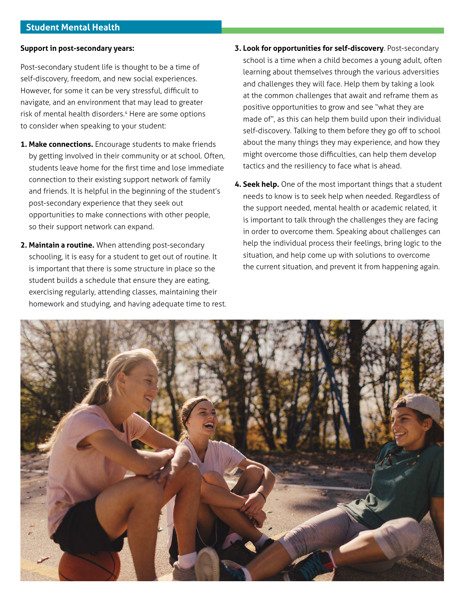## **Support in post-secondary years:**

Post-secondary student life is thought to be a time of self-discovery, freedom, and new social experiences. However, for some it can be very stressful, difficult to navigate, and an environment that may lead to greater risk of mental health disorders.<sup>4</sup> Here are some options to consider when speaking to your student:

- **1. Make connections.** Encourage students to make friends by getting involved in their community or at school. Often, students leave home for the first time and lose immediate connection to their existing support network of family and friends. It is helpful in the beginning of the student's post-secondary experience that they seek out opportunities to make connections with other people, so their support network can expand.
- **2. Maintain a routine.** When attending post-secondary schooling, it is easy for a student to get out of routine. It is important that there is some structure in place so the student builds a schedule that ensure they are eating, exercising regularly, attending classes, maintaining their homework and studying, and having adequate time to rest.
- **3. Look for opportunities for self-discovery**. Post-secondary school is a time when a child becomes a young adult, often learning about themselves through the various adversities and challenges they will face. Help them by taking a look at the common challenges that await and reframe them as positive opportunities to grow and see "what they are made of", as this can help them build upon their individual self-discovery. Talking to them before they go off to school about the many things they may experience, and how they might overcome those difficulties, can help them develop tactics and the resiliency to face what is ahead.
- **4. Seek help.** One of the most important things that a student needs to know is to seek help when needed. Regardless of the support needed, mental health or academic related, it is important to talk through the challenges they are facing in order to overcome them. Speaking about challenges can help the individual process their feelings, bring logic to the situation, and help come up with solutions to overcome the current situation, and prevent it from happening again.